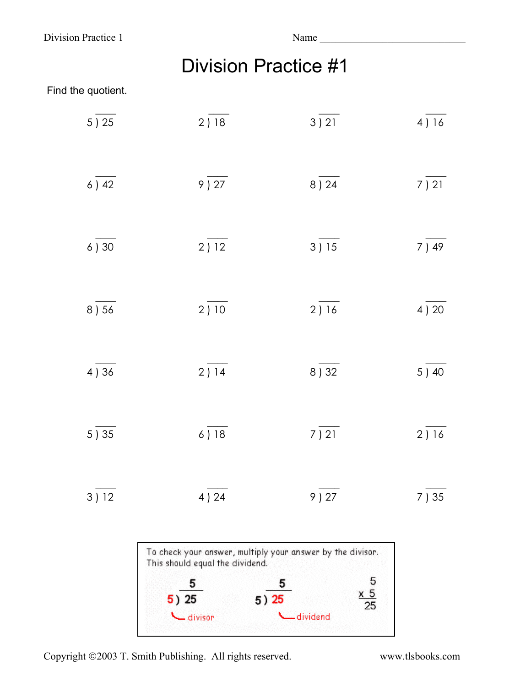Division Practice 1 Name

|  | <b>Division Practice #1</b> |
|--|-----------------------------|
|--|-----------------------------|

## Find the quotient.

| $5\overline{\smash)25}$   | $2\overline{\smash)18}$      | $3\overline{)21}$       | $4\overline{\smash{)}16}$ |
|---------------------------|------------------------------|-------------------------|---------------------------|
| $6$ ) 42                  | $9\overline{)27}$            | $8\overline{)24}$       | $7\overline{)21}$         |
| $6\overline{)30}$         | $2\overline{)12}$            | $3\overline{)15}$       | $7\overline{\smash)49}$   |
| 8) 56                     | $2\overline{)10}$            | $2\overline{\smash)16}$ | 4 ) 20                    |
| $4\overline{\smash{)}36}$ | $2\overline{\overline{)14}}$ | $8\overline{)32}$       | $5\overline{\smash)40}$   |
| 5) 35                     | 6) 18                        | $7\overline{)21}$       | $2\overline{\smash{)}16}$ |
| $3\overline{)12}$         | $4\overline{\smash{)}\,24}$  | $9\overline{)27}$       | 7) 35                     |



Copyright ©2003 T. Smith Publishing. All rights reserved. www.tlsbooks.com